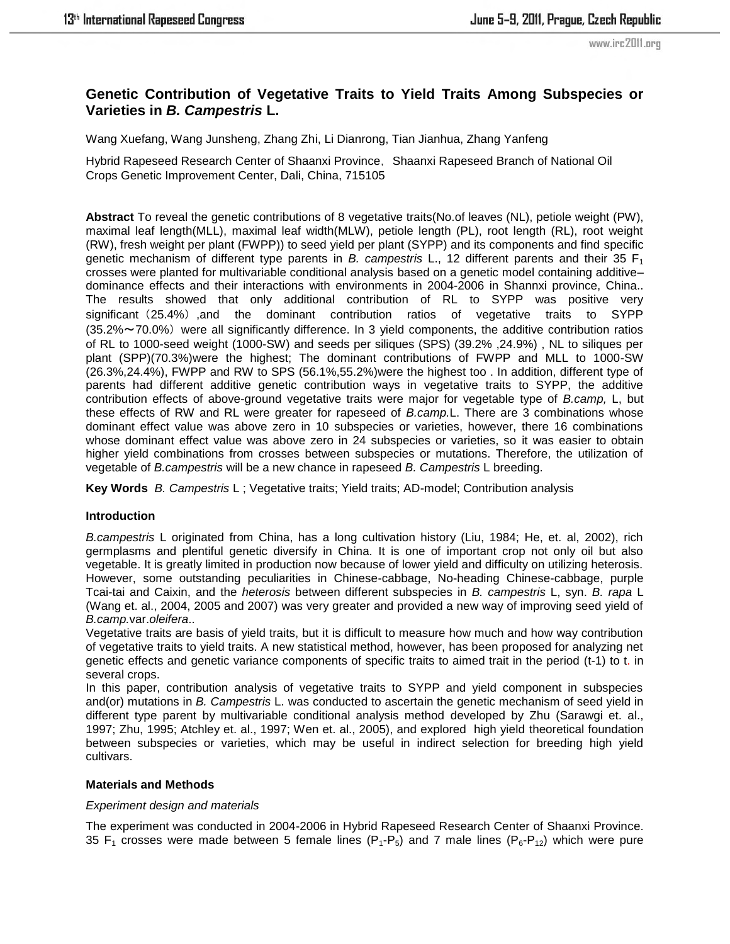www.irc2011.org

# **Genetic Contribution of Vegetative Traits to Yield Traits Among Subspecies or Varieties in** *B. Campestris* **L.**

Wang Xuefang, Wang Junsheng, Zhang Zhi, Li Dianrong, Tian Jianhua, Zhang Yanfeng

Hybrid Rapeseed Research Center of Shaanxi Province, Shaanxi Rapeseed Branch of National Oil Crops Genetic Improvement Center, Dali, China, 715105

**Abstract** To reveal the genetic contributions of 8 vegetative traits(No.of leaves (NL), petiole weight (PW), maximal leaf length(MLL), maximal leaf width(MLW), petiole length (PL), root length (RL), root weight (RW), fresh weight per plant (FWPP)) to seed yield per plant (SYPP) and its components and find specific genetic mechanism of different type parents in *B. campestris* L., 12 different parents and their 35 F<sub>1</sub> crosses were planted for multivariable conditional analysis based on a genetic model containing additive– dominance effects and their interactions with environments in 2004-2006 in Shannxi province, China.. The results showed that only additional contribution of RL to SYPP was positive very significant (25.4%) ,and the dominant contribution ratios of vegetative traits to SYPP (35.2%~70.0%)were all significantly difference. In 3 yield components, the additive contribution ratios of RL to 1000-seed weight (1000-SW) and seeds per siliques (SPS) (39.2% ,24.9%) , NL to siliques per plant (SPP)(70.3%)were the highest; The dominant contributions of FWPP and MLL to 1000-SW (26.3%,24.4%), FWPP and RW to SPS (56.1%,55.2%)were the highest too . In addition, different type of parents had different additive genetic contribution ways in vegetative traits to SYPP, the additive contribution effects of above-ground vegetative traits were major for vegetable type of *B.camp,* L, but these effects of RW and RL were greater for rapeseed of *B.camp.*L. There are 3 combinations whose dominant effect value was above zero in 10 subspecies or varieties, however, there 16 combinations whose dominant effect value was above zero in 24 subspecies or varieties, so it was easier to obtain higher yield combinations from crosses between subspecies or mutations. Therefore, the utilization of vegetable of *B.campestris* will be a new chance in rapeseed *B. Campestris* L breeding.

**Key Words** *B. Campestris* L ; Vegetative traits; Yield traits; AD-model; Contribution analysis

# **Introduction**

*B.campestris* L originated from China, has a long cultivation history (Liu, 1984; He, et. al, 2002), rich germplasms and plentiful genetic diversify in China. It is one of important crop not only oil but also vegetable. It is greatly limited in production now because of lower yield and difficulty on utilizing heterosis. However, some outstanding peculiarities in Chinese-cabbage, No-heading Chinese-cabbage, purple Tcai-tai and Caixin, and the *heterosis* between different subspecies in *B. campestris* L, syn. *B. rapa* L (Wang et. al., 2004, 2005 and 2007) was very greater and provided a new way of improving seed yield of *B.camp.*var.*oleifera*..

Vegetative traits are basis of yield traits, but it is difficult to measure how much and how way contribution of vegetative traits to yield traits. A new statistical method, however, has been proposed for analyzing net genetic effects and genetic variance components of specific traits to aimed trait in the period (t-1) to t. in several crops.

In this paper, contribution analysis of vegetative traits to SYPP and yield component in subspecies and(or) mutations in *B. Campestris* L. was conducted to ascertain the genetic mechanism of seed yield in different type parent by multivariable conditional analysis method developed by Zhu (Sarawgi et. al., 1997; Zhu, 1995; Atchley et. al., 1997; Wen et. al., 2005), and explored high yield theoretical foundation between subspecies or varieties, which may be useful in indirect selection for breeding high yield cultivars.

#### **Materials and Methods**

#### *Experiment design and materials*

The experiment was conducted in 2004-2006 in Hybrid Rapeseed Research Center of Shaanxi Province. 35 F<sub>1</sub> crosses were made between 5 female lines  $(P_1-P_5)$  and 7 male lines  $(P_6-P_{12})$  which were pure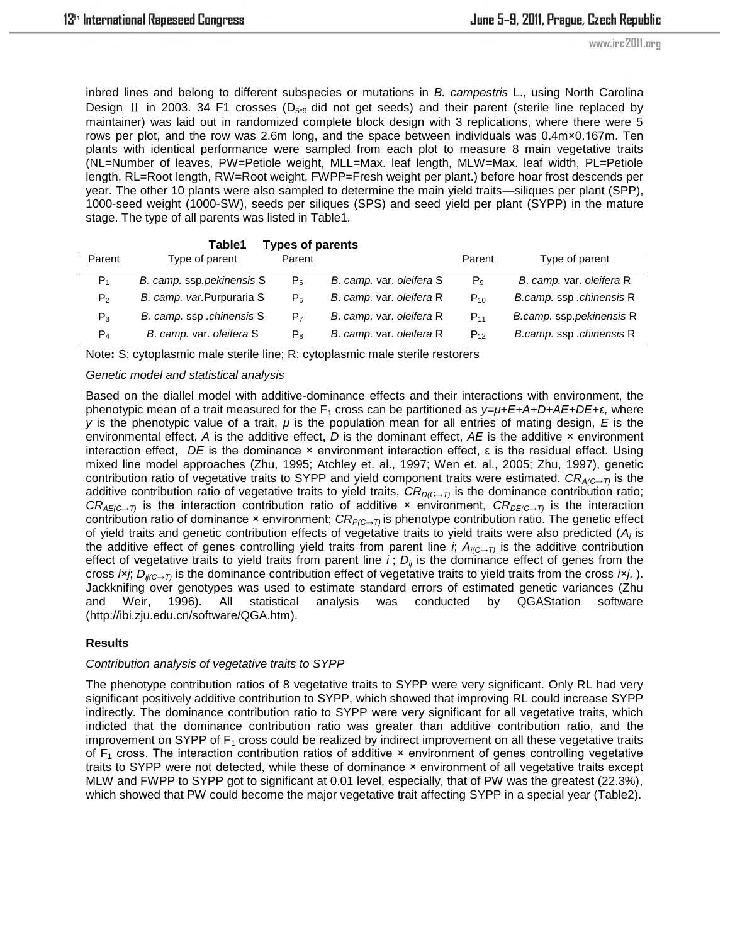inbred lines and belong to different subspecies or mutations in *B. campestris* L., using North Carolina Design II in 2003. 34 F1 crosses ( $D_{5*9}$  did not get seeds) and their parent (sterile line replaced by maintainer) was laid out in randomized complete block design with 3 replications, where there were 5 rows per plot, and the row was 2.6m long, and the space between individuals was 0.4m×0.167m. Ten plants with identical performance were sampled from each plot to measure 8 main vegetative traits (NL=Number of leaves, PW=Petiole weight, MLL=Max. leaf length, MLW=Max. leaf width, PL=Petiole length, RL=Root length, RW=Root weight, FWPP=Fresh weight per plant.) before hoar frost descends per year. The other 10 plants were also sampled to determine the main yield traits—siliques per plant (SPP), 1000-seed weight (1000-SW), seeds per siliques (SPS) and seed yield per plant (SYPP) in the mature stage. The type of all parents was listed in Table1.

|                | Table1                     | <b>Types of parents</b> |                          |                |                          |
|----------------|----------------------------|-------------------------|--------------------------|----------------|--------------------------|
| Parent         | Type of parent             | Parent                  |                          | Parent         | Type of parent           |
| P <sub>1</sub> | B. camp. ssp.pekinensis S  | P <sub>5</sub>          | B. camp. var. oleifera S | P <sub>9</sub> | B. camp. var. oleifera R |
| P <sub>2</sub> | B. camp. var. Purpuraria S | $P_6$                   | B. camp. var. oleifera R | $P_{10}$       | B.camp. ssp.chinensis R  |
| $P_3$          | B. camp. ssp.chinensis S   | P <sub>7</sub>          | B. camp. var. oleifera R | $P_{11}$       | B.camp. ssp.pekinensis R |
| P <sub>4</sub> | B. camp. var. oleifera S   | $P_8$                   | B. camp. var. oleifera R | $P_{12}$       | B.camp. ssp.chinensis R  |

Note**:** S: cytoplasmic male sterile line; R: cytoplasmic male sterile restorers

#### *Genetic model and statistical analysis*

Based on the diallel model with additive-dominance effects and their interactions with environment, the phenotypic mean of a trait measured for the F<sub>1</sub> cross can be partitioned as  $y=μ+E+A+D+AE+DE+\epsilon$ , where *y* is the phenotypic value of a trait, *μ* is the population mean for all entries of mating design, *E* is the environmental effect, *A* is the additive effect, *D* is the dominant effect, *AE* is the additive × environment interaction effect, *DE* is the dominance  $\times$  environment interaction effect, ε is the residual effect. Using mixed line model approaches (Zhu, 1995; Atchley et. al., 1997; Wen et. al., 2005; Zhu, 1997), genetic contribution ratio of vegetative traits to SYPP and yield component traits were estimated. *CRA(C→T)* is the additive contribution ratio of vegetative traits to yield traits, *CRD(C→T)* is the dominance contribution ratio;  $CR_{AEC\rightarrow T}$  is the interaction contribution ratio of additive × environment,  $CR_{DE(C\rightarrow T)}$  is the interaction contribution ratio of dominance × environment; *CRP(C→T)* is phenotype contribution ratio. The genetic effect of yield traits and genetic contribution effects of vegetative traits to yield traits were also predicted (*A<sup>i</sup>* is the additive effect of genes controlling yield traits from parent line *i*;  $A_{i/C\rightarrow T}$  is the additive contribution effect of vegetative traits to yield traits from parent line  $i$ ;  $D_{ij}$  is the dominance effect of genes from the cross *i×j*; *Dij(C→T)* is the dominance contribution effect of vegetative traits to yield traits from the cross *i×j*. ). Jackknifing over genotypes was used to estimate standard errors of estimated genetic variances (Zhu and Weir, 1996). All statistical analysis was conducted by QGAStation software [\(http://ibi.zju.edu.cn/s](http://ibi.zju.edu.cn/)oftware/QGA.htm).

#### **Results**

#### *Contribution analysis of vegetative traits to SYPP*

The phenotype contribution ratios of 8 vegetative traits to SYPP were very significant. Only RL had very significant positively additive contribution to SYPP, which showed that improving RL could increase SYPP indirectly. The dominance contribution ratio to SYPP were very significant for all vegetative traits, which indicted that the dominance contribution ratio was greater than additive contribution ratio, and the improvement on SYPP of  $F_1$  cross could be realized by indirect improvement on all these vegetative traits of  $F_1$  cross. The interaction contribution ratios of additive  $\times$  environment of genes controlling vegetative traits to SYPP were not detected, while these of dominance × environment of all vegetative traits except MLW and FWPP to SYPP got to significant at 0.01 level, especially, that of PW was the greatest (22.3%), which showed that PW could become the major vegetative trait affecting SYPP in a special year (Table2).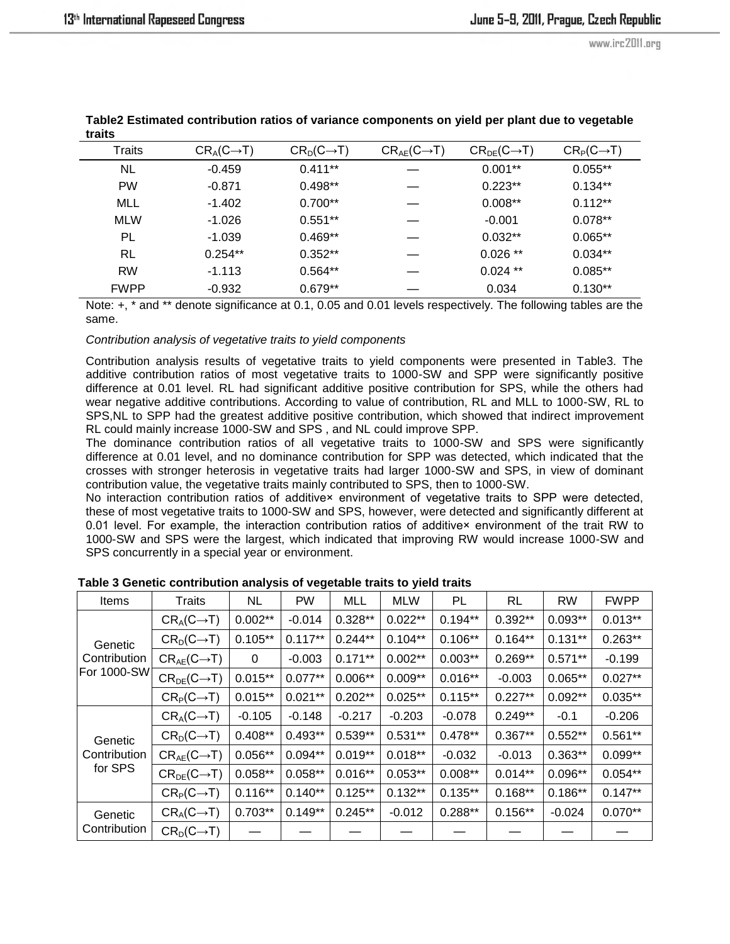| ualls       |                         |                         |                            |                         |                         |
|-------------|-------------------------|-------------------------|----------------------------|-------------------------|-------------------------|
| Traits      | $CR_A(C \rightarrow T)$ | $CR_D(C \rightarrow T)$ | $CR_{AE}(C \rightarrow T)$ | $CRDE(C \rightarrow T)$ | $CR_P(C \rightarrow T)$ |
| NL          | $-0.459$                | $0.411**$               |                            | $0.001**$               | $0.055**$               |
| <b>PW</b>   | $-0.871$                | $0.498**$               |                            | $0.223**$               | $0.134**$               |
| MLL         | $-1.402$                | $0.700**$               |                            | $0.008**$               | $0.112**$               |
| <b>MLW</b>  | $-1.026$                | $0.551**$               |                            | $-0.001$                | $0.078**$               |
| PL          | $-1.039$                | $0.469**$               |                            | $0.032**$               | $0.065**$               |
| <b>RL</b>   | $0.254**$               | $0.352**$               |                            | $0.026**$               | $0.034**$               |
| <b>RW</b>   | $-1.113$                | $0.564**$               |                            | $0.024$ **              | $0.085**$               |
| <b>FWPP</b> | $-0.932$                | $0.679**$               |                            | 0.034                   | $0.130**$               |

**Table2 Estimated contribution ratios of variance components on yield per plant due to vegetable traits**

Note:  $+$ ,  $*$  and  $**$  denote significance at 0.1, 0.05 and 0.01 levels respectively. The following tables are the same.

# *Contribution analysis of vegetative traits to yield components*

Contribution analysis results of vegetative traits to yield components were presented in Table3. The additive contribution ratios of most vegetative traits to 1000-SW and SPP were significantly positive difference at 0.01 level. RL had significant additive positive contribution for SPS, while the others had wear negative additive contributions. According to value of contribution, RL and MLL to 1000-SW, RL to SPS,NL to SPP had the greatest additive positive contribution, which showed that indirect improvement RL could mainly increase 1000-SW and SPS , and NL could improve SPP.

The dominance contribution ratios of all vegetative traits to 1000-SW and SPS were significantly difference at 0.01 level, and no dominance contribution for SPP was detected, which indicated that the crosses with stronger heterosis in vegetative traits had larger 1000-SW and SPS, in view of dominant contribution value, the vegetative traits mainly contributed to SPS, then to 1000-SW.

No interaction contribution ratios of additive× environment of vegetative traits to SPP were detected, these of most vegetative traits to 1000-SW and SPS, however, were detected and significantly different at 0.01 level. For example, the interaction contribution ratios of additive× environment of the trait RW to 1000-SW and SPS were the largest, which indicated that improving RW would increase 1000-SW and SPS concurrently in a special year or environment.

| Items                                  | <b>Traits</b>              | NL        | PW        | <b>MLL</b> | <b>MLW</b> | PL         | RL        | <b>RW</b> | <b>FWPP</b> |
|----------------------------------------|----------------------------|-----------|-----------|------------|------------|------------|-----------|-----------|-------------|
| Genetic<br>Contribution<br>For 1000-SW | $CR_A(C \rightarrow T)$    | $0.002**$ | $-0.014$  | $0.328**$  | $0.022**$  | $0.194**$  | $0.392**$ | $0.093**$ | $0.013**$   |
|                                        | $CR_D(C \rightarrow T)$    | $0.105**$ | $0.117**$ | $0.244**$  | $0.104**$  | $0.106**$  | $0.164**$ | $0.131**$ | $0.263**$   |
|                                        | $CR_{AE}(C \rightarrow T)$ | 0         | $-0.003$  | $0.171**$  | $0.002**$  | $0.003**$  | $0.269**$ | $0.571**$ | $-0.199$    |
|                                        | $CR_{DE}(C \rightarrow T)$ | $0.015**$ | $0.077**$ | $0.006**$  | $0.009**$  | $0.016**$  | $-0.003$  | $0.065**$ | $0.027**$   |
|                                        | $CR_P(C \rightarrow T)$    | $0.015**$ | $0.021**$ | $0.202**$  | $0.025**$  | $0.115***$ | $0.227**$ | $0.092**$ | $0.035**$   |
|                                        | $CR_A(C \rightarrow T)$    | $-0.105$  | $-0.148$  | $-0.217$   | $-0.203$   | $-0.078$   | $0.249**$ | $-0.1$    | $-0.206$    |
| Genetic                                | $CR_D(C \rightarrow T)$    | $0.408**$ | $0.493**$ | $0.539**$  | $0.531**$  | $0.478**$  | $0.367**$ | $0.552**$ | $0.561**$   |
| Contribution<br>for SPS                | $CR_{AE}(C \rightarrow T)$ | $0.056**$ | $0.094**$ | $0.019**$  | $0.018**$  | $-0.032$   | $-0.013$  | $0.363**$ | $0.099**$   |
|                                        | $CR_{DE}(C \rightarrow T)$ | $0.058**$ | $0.058**$ | $0.016**$  | $0.053**$  | $0.008**$  | $0.014**$ | $0.096**$ | $0.054**$   |
|                                        | $CRP(C \rightarrow T)$     | $0.116**$ | $0.140**$ | $0.125**$  | $0.132**$  | $0.135**$  | $0.168**$ | $0.186**$ | $0.147**$   |
| Genetic<br>Contribution                | $CR_A(C \rightarrow T)$    | $0.703**$ | $0.149**$ | $0.245**$  | $-0.012$   | $0.288**$  | $0.156**$ | $-0.024$  | $0.070**$   |
|                                        | $CRD(C \rightarrow T)$     |           |           |            |            |            |           |           |             |

**Table 3 Genetic contribution analysis of vegetable traits to yield traits**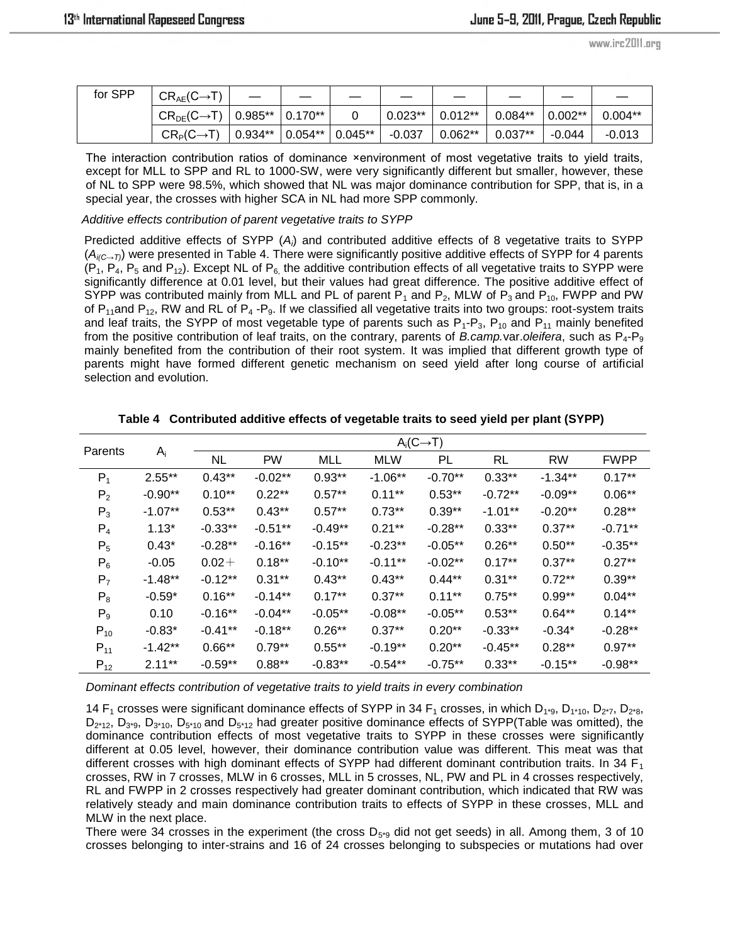| for SPP | $CR_{AE}(C \rightarrow T)$                 |           |                       |           |           |           |             |           |
|---------|--------------------------------------------|-----------|-----------------------|-----------|-----------|-----------|-------------|-----------|
|         | $CR_{DE}(C \rightarrow T)$ 0.985** 0.170** |           |                       | $0.023**$ | $0.012**$ | $0.084**$ | $ 0.002** $ | $0.004**$ |
|         | $CR_P(C \rightarrow T)$                    | $0.934**$ | $0.054**$   $0.045**$ | $-0.037$  | $0.062**$ | $0.037**$ | -0.044      | $-0.013$  |

The interaction contribution ratios of dominance ×environment of most vegetative traits to yield traits, except for MLL to SPP and RL to 1000-SW, were very significantly different but smaller, however, these of NL to SPP were 98.5%, which showed that NL was major dominance contribution for SPP, that is, in a special year, the crosses with higher SCA in NL had more SPP commonly.

### *Additive effects contribution of parent vegetative traits to SYPP*

Predicted additive effects of SYPP (*Ai*) and contributed additive effects of 8 vegetative traits to SYPP (*Ai(C→T)*) were presented in Table 4. There were significantly positive additive effects of SYPP for 4 parents  $(P_1, P_4, P_5$  and  $P_{12})$ . Except NL of  $P_6$ , the additive contribution effects of all vegetative traits to SYPP were significantly difference at 0.01 level, but their values had great difference. The positive additive effect of SYPP was contributed mainly from MLL and PL of parent  $P_1$  and  $P_2$ , MLW of  $P_3$  and  $P_{10}$ , FWPP and PW of  $P_{11}$ and  $P_{12}$ , RW and RL of  $P_4$  - $P_9$ . If we classified all vegetative traits into two groups: root-system traits and leaf traits, the SYPP of most vegetable type of parents such as  $P_1-P_3$ ,  $P_{10}$  and  $P_{11}$  mainly benefited from the positive contribution of leaf traits, on the contrary, parents of *B.camp.var.oleifera*, such as P<sub>4</sub>-P<sub>9</sub> mainly benefited from the contribution of their root system. It was implied that different growth type of parents might have formed different genetic mechanism on seed yield after long course of artificial selection and evolution.

| Parents        | $A_i$     | $A_i(C \rightarrow T)$ |           |           |            |           |            |            |             |  |
|----------------|-----------|------------------------|-----------|-----------|------------|-----------|------------|------------|-------------|--|
|                |           | NL                     | <b>PW</b> | MLL       | <b>MLW</b> | PL        | RL         | <b>RW</b>  | <b>FWPP</b> |  |
| $P_1$          | $2.55***$ | $0.43***$              | $-0.02**$ | $0.93**$  | $-1.06**$  | $-0.70**$ | $0.33**$   | $-1.34**$  | $0.17***$   |  |
| P <sub>2</sub> | $-0.90**$ | $0.10***$              | $0.22***$ | $0.57**$  | $0.11***$  | $0.53**$  | $-0.72**$  | $-0.09**$  | $0.06**$    |  |
| $P_3$          | $-1.07**$ | $0.53**$               | $0.43**$  | $0.57**$  | $0.73**$   | $0.39**$  | $-1.01***$ | $-0.20**$  | $0.28**$    |  |
| $P_4$          | $1.13*$   | $-0.33**$              | $-0.51**$ | $-0.49**$ | $0.21***$  | $-0.28**$ | $0.33**$   | $0.37***$  | $-0.71***$  |  |
| $P_5$          | $0.43*$   | $-0.28**$              | $-0.16**$ | $-0.15**$ | $-0.23**$  | $-0.05**$ | $0.26**$   | $0.50**$   | $-0.35**$   |  |
| $P_6$          | $-0.05$   | $0.02 +$               | $0.18***$ | $-0.10**$ | $-0.11***$ | $-0.02**$ | $0.17***$  | $0.37***$  | $0.27**$    |  |
| P <sub>7</sub> | $-1.48**$ | $-0.12**$              | $0.31***$ | $0.43**$  | $0.43**$   | $0.44**$  | $0.31***$  | $0.72***$  | $0.39**$    |  |
| $P_8$          | $-0.59*$  | $0.16***$              | $-0.14**$ | $0.17**$  | $0.37**$   | $0.11***$ | $0.75***$  | $0.99**$   | $0.04***$   |  |
| $P_9$          | 0.10      | $-0.16**$              | $-0.04**$ | $-0.05**$ | $-0.08**$  | $-0.05**$ | $0.53**$   | $0.64**$   | $0.14***$   |  |
| $P_{10}$       | $-0.83*$  | $-0.41**$              | $-0.18**$ | $0.26**$  | $0.37**$   | $0.20**$  | $-0.33**$  | $-0.34*$   | $-0.28**$   |  |
| $P_{11}$       | $-1.42**$ | $0.66**$               | $0.79**$  | $0.55***$ | $-0.19**$  | $0.20**$  | $-0.45**$  | $0.28**$   | $0.97**$    |  |
| $P_{12}$       | $2.11**$  | $-0.59**$              | $0.88**$  | $-0.83**$ | $-0.54**$  | $-0.75**$ | $0.33**$   | $-0.15***$ | $-0.98**$   |  |

**Table 4 Contributed additive effects of vegetable traits to seed yield per plant (SYPP)**

*Dominant effects contribution of vegetative traits to yield traits in every combination* 

14  $F_1$  crosses were significant dominance effects of SYPP in 34  $F_1$  crosses, in which  $D_{1*9}$ ,  $D_{1*10}$ ,  $D_{2*7}$ ,  $D_{2*8}$ ,  $D_{2*12}$ ,  $D_{3*9}$ ,  $D_{3*10}$ ,  $D_{5*10}$  and  $D_{5*12}$  had greater positive dominance effects of SYPP(Table was omitted), the dominance contribution effects of most vegetative traits to SYPP in these crosses were significantly different at 0.05 level, however, their dominance contribution value was different. This meat was that different crosses with high dominant effects of SYPP had different dominant contribution traits. In 34  $F_1$ crosses, RW in 7 crosses, MLW in 6 crosses, MLL in 5 crosses, NL, PW and PL in 4 crosses respectively, RL and FWPP in 2 crosses respectively had greater dominant contribution, which indicated that RW was relatively steady and main dominance contribution traits to effects of SYPP in these crosses, MLL and MLW in the next place.

There were 34 crosses in the experiment (the cross  $D_{5^*9}$  did not get seeds) in all. Among them, 3 of 10 crosses belonging to inter-strains and 16 of 24 crosses belonging to subspecies or mutations had over